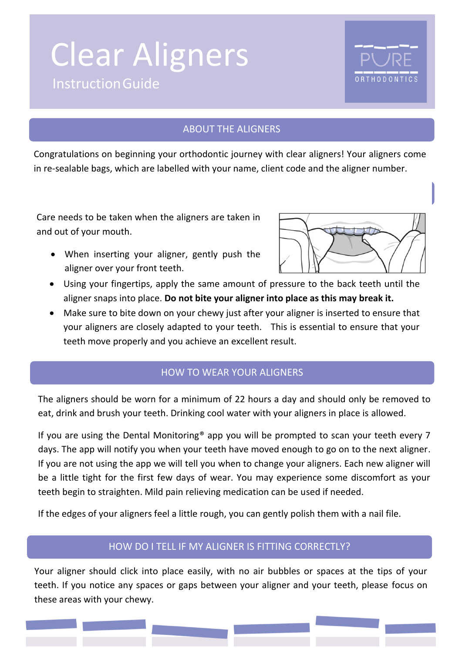# InstructionGuide Clear Aligners



#### ABOUT THE ALIGNERS

Congratulations on beginning your orthodontic journey with clear aligners! Your aligners come in re-sealable bags, which are labelled with your name, client code and the aligner number.

Care needs to be taken when the aligners are taken in and out of your mouth.

• When inserting your aligner, gently push the aligner over your front teeth.



- Using your fingertips, apply the same amount of pressure to the back teeth until the aligner snaps into place. **Do not bite your aligner into place as this may break it.**
- Make sure to bite down on your chewy just after your aligner is inserted to ensure that your aligners are closely adapted to your teeth. This is essential to ensure that your teeth move properly and you achieve an excellent result.

## HOW TO WEAR YOUR ALIGNERS

The aligners should be worn for a minimum of 22 hours a day and should only be removed to eat, drink and brush your teeth. Drinking cool water with your aligners in place is allowed.

If you are using the Dental Monitoring® app you will be prompted to scan your teeth every 7 days. The app will notify you when your teeth have moved enough to go on to the next aligner. If you are not using the app we will tell you when to change your aligners. Each new aligner will be a little tight for the first few days of wear. You may experience some discomfort as your teeth begin to straighten. Mild pain relieving medication can be used if needed.

If the edges of your aligners feel a little rough, you can gently polish them with a nail file.

## HOW DO I TELL IF MY ALIGNER IS FITTING CORRECTLY?

Your aligner should click into place easily, with no air bubbles or spaces at the tips of your teeth. If you notice any spaces or gaps between your aligner and your teeth, please focus on these areas with your chewy.